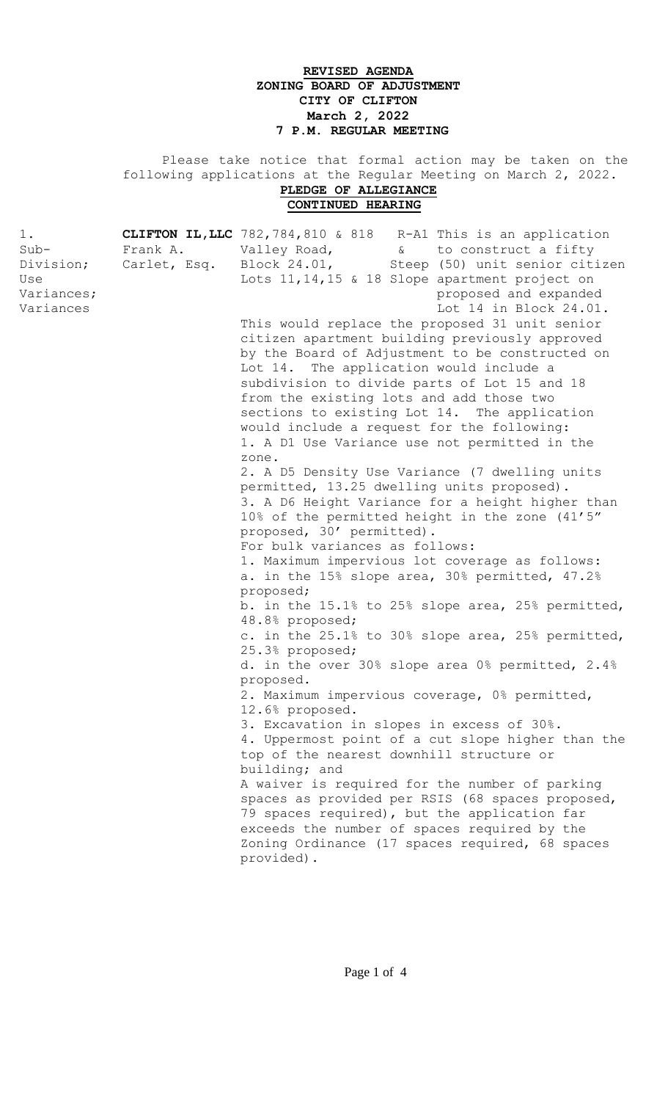## **REVISED AGENDA ZONING BOARD OF ADJUSTMENT CITY OF CLIFTON March 2, 2022 7 P.M. REGULAR MEETING**

 Please take notice that formal action may be taken on the following applications at the Regular Meeting on March 2, 2022. **PLEDGE OF ALLEGIANCE CONTINUED HEARING**

| 1.                |          | <b>CLIFTON IL, LLC</b> 782, 784, 810 & 818 R-A1 This is an application                                                |
|-------------------|----------|-----------------------------------------------------------------------------------------------------------------------|
| $Sub-$            | Frank A. | Valley Road, vantilational construct a fifty                                                                          |
|                   |          | Division; Carlet, Esq. Block 24.01, Steep (50) unit senior citizen<br>Lots 11, 14, 15 & 18 Slope apartment project on |
| Use<br>Variances; |          | proposed and expanded                                                                                                 |
| Variances         |          | Lot 14 in Block 24.01.                                                                                                |
|                   |          | This would replace the proposed 31 unit senior                                                                        |
|                   |          | citizen apartment building previously approved                                                                        |
|                   |          | by the Board of Adjustment to be constructed on                                                                       |
|                   |          | Lot 14. The application would include a                                                                               |
|                   |          | subdivision to divide parts of Lot 15 and 18                                                                          |
|                   |          | from the existing lots and add those two                                                                              |
|                   |          | sections to existing Lot 14. The application                                                                          |
|                   |          | would include a request for the following:                                                                            |
|                   |          | 1. A D1 Use Variance use not permitted in the                                                                         |
|                   |          | zone.                                                                                                                 |
|                   |          | 2. A D5 Density Use Variance (7 dwelling units                                                                        |
|                   |          | permitted, 13.25 dwelling units proposed).                                                                            |
|                   |          | 3. A D6 Height Variance for a height higher than                                                                      |
|                   |          | 10% of the permitted height in the zone (41'5"                                                                        |
|                   |          | proposed, 30' permitted).                                                                                             |
|                   |          | For bulk variances as follows:                                                                                        |
|                   |          | 1. Maximum impervious lot coverage as follows:                                                                        |
|                   |          | a. in the 15% slope area, 30% permitted, 47.2%                                                                        |
|                   |          | proposed;                                                                                                             |
|                   |          | b. in the 15.1% to 25% slope area, 25% permitted,<br>48.8% proposed;                                                  |
|                   |          | c. in the 25.1% to 30% slope area, 25% permitted,                                                                     |
|                   |          | 25.3% proposed;                                                                                                       |
|                   |          | d. in the over 30% slope area 0% permitted, 2.4%                                                                      |
|                   |          | proposed.                                                                                                             |
|                   |          | 2. Maximum impervious coverage, 0% permitted,                                                                         |
|                   |          | 12.6% proposed.                                                                                                       |
|                   |          | 3. Excavation in slopes in excess of 30%.                                                                             |
|                   |          | 4. Uppermost point of a cut slope higher than the                                                                     |
|                   |          | top of the nearest downhill structure or                                                                              |
|                   |          | building; and                                                                                                         |
|                   |          | A waiver is required for the number of parking                                                                        |
|                   |          | spaces as provided per RSIS (68 spaces proposed,<br>79 spaces required), but the application far                      |
|                   |          | exceeds the number of spaces required by the                                                                          |
|                   |          | Zoning Ordinance (17 spaces required, 68 spaces                                                                       |
|                   |          | provided).                                                                                                            |
|                   |          |                                                                                                                       |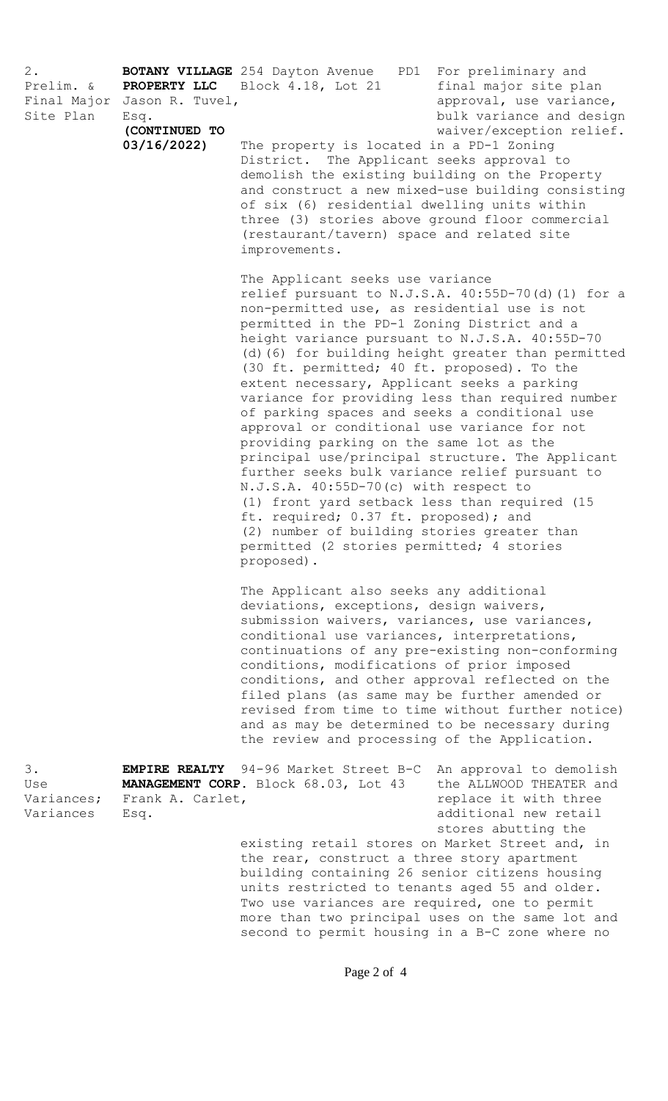| $2$ .<br>Prelim. &<br>Final Major<br>Site Plan | PROPERTY LLC<br>Jason R. Tuvel,<br>Esq.<br>(CONTINUED TO<br>03/16/2022 | <b>BOTANY VILLAGE</b> 254 Dayton Avenue<br>PD1 For preliminary and<br>Block 4.18, Lot 21<br>final major site plan<br>approval, use variance,<br>bulk variance and design<br>waiver/exception relief.<br>The property is located in a PD-1 Zoning<br>District. The Applicant seeks approval to<br>demolish the existing building on the Property<br>and construct a new mixed-use building consisting<br>of six (6) residential dwelling units within<br>three (3) stories above ground floor commercial<br>(restaurant/tavern) space and related site<br>improvements.                                                                                                                                                      |                                                                                                                                                                                                                 |
|------------------------------------------------|------------------------------------------------------------------------|-----------------------------------------------------------------------------------------------------------------------------------------------------------------------------------------------------------------------------------------------------------------------------------------------------------------------------------------------------------------------------------------------------------------------------------------------------------------------------------------------------------------------------------------------------------------------------------------------------------------------------------------------------------------------------------------------------------------------------|-----------------------------------------------------------------------------------------------------------------------------------------------------------------------------------------------------------------|
|                                                |                                                                        | The Applicant seeks use variance<br>non-permitted use, as residential use is not<br>permitted in the PD-1 Zoning District and a<br>height variance pursuant to N.J.S.A. 40:55D-70<br>(30 ft. permitted; 40 ft. proposed). To the<br>extent necessary, Applicant seeks a parking<br>of parking spaces and seeks a conditional use<br>approval or conditional use variance for not<br>providing parking on the same lot as the<br>further seeks bulk variance relief pursuant to<br>N.J.S.A. 40:55D-70(c) with respect to<br>(1) front yard setback less than required (15<br>ft. required; 0.37 ft. proposed); and<br>(2) number of building stories greater than<br>permitted (2 stories permitted; 4 stories<br>proposed). | relief pursuant to N.J.S.A. 40:55D-70(d)(1) for a<br>(d) (6) for building height greater than permitted<br>variance for providing less than required number<br>principal use/principal structure. The Applicant |
|                                                |                                                                        | The Applicant also seeks any additional<br>deviations, exceptions, design waivers,<br>submission waivers, variances, use variances,<br>conditional use variances, interpretations,<br>conditions, modifications of prior imposed<br>conditions, and other approval reflected on the<br>filed plans (as same may be further amended or<br>and as may be determined to be necessary during<br>the review and processing of the Application.                                                                                                                                                                                                                                                                                   | continuations of any pre-existing non-conforming<br>revised from time to time without further notice)                                                                                                           |
| 3.<br>Use<br>Variances;<br>Variances           | Frank A. Carlet,<br>Esq.                                               | <b>EMPIRE REALTY</b> 94-96 Market Street B-C<br>MANAGEMENT CORP. Block 68.03, Lot 43                                                                                                                                                                                                                                                                                                                                                                                                                                                                                                                                                                                                                                        | An approval to demolish<br>the ALLWOOD THEATER and<br>replace it with three<br>additional new retail                                                                                                            |

stores abutting the existing retail stores on Market Street and, in the rear, construct a three story apartment building containing 26 senior citizens housing units restricted to tenants aged 55 and older. Two use variances are required, one to permit more than two principal uses on the same lot and second to permit housing in a B-C zone where no

Page 2 of 4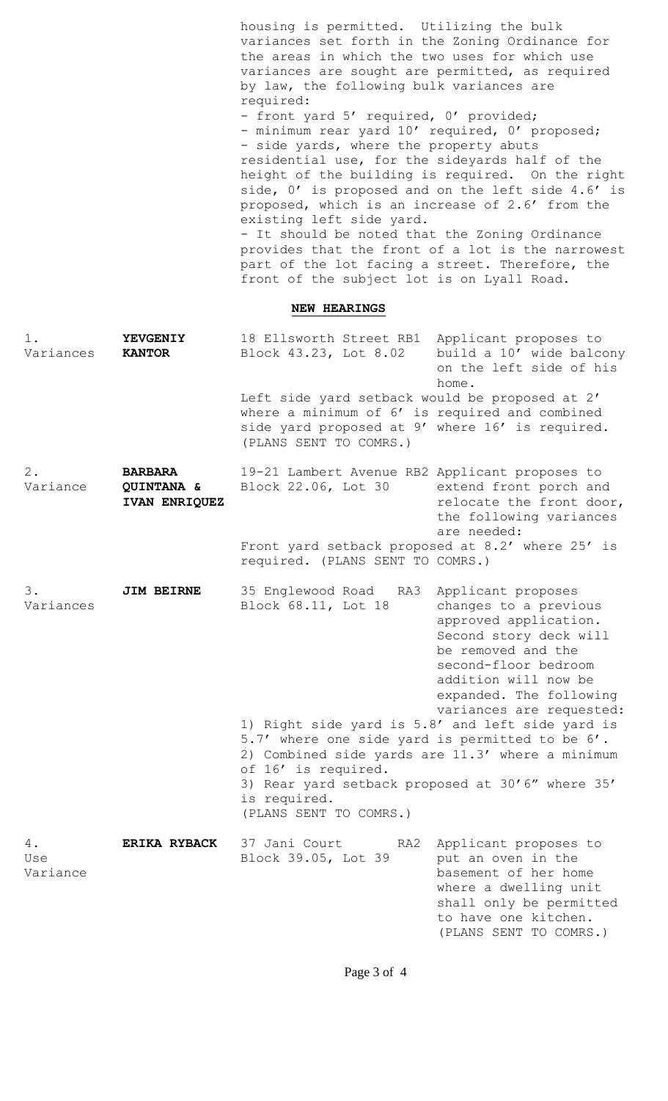|                       |                                               | housing is permitted. Utilizing the bulk<br>variances set forth in the Zoning Ordinance for<br>the areas in which the two uses for which use<br>variances are sought are permitted, as required<br>by law, the following bulk variances are<br>required:<br>- front yard 5' required, 0' provided;<br>- minimum rear yard 10' required, 0' proposed;<br>- side yards, where the property abuts<br>residential use, for the sideyards half of the<br>height of the building is required. On the right<br>side, 0' is proposed and on the left side 4.6' is<br>proposed, which is an increase of 2.6' from the<br>existing left side yard.<br>- It should be noted that the Zoning Ordinance<br>provides that the front of a lot is the narrowest<br>part of the lot facing a street. Therefore, the<br>front of the subject lot is on Lyall Road. |                                                                                                                                                                                                                             |  |  |
|-----------------------|-----------------------------------------------|--------------------------------------------------------------------------------------------------------------------------------------------------------------------------------------------------------------------------------------------------------------------------------------------------------------------------------------------------------------------------------------------------------------------------------------------------------------------------------------------------------------------------------------------------------------------------------------------------------------------------------------------------------------------------------------------------------------------------------------------------------------------------------------------------------------------------------------------------|-----------------------------------------------------------------------------------------------------------------------------------------------------------------------------------------------------------------------------|--|--|
|                       | <b>NEW HEARINGS</b>                           |                                                                                                                                                                                                                                                                                                                                                                                                                                                                                                                                                                                                                                                                                                                                                                                                                                                  |                                                                                                                                                                                                                             |  |  |
| $1$ .<br>Variances    | <b>YEVGENIY</b><br><b>KANTOR</b>              | 18 Ellsworth Street RB1 Applicant proposes to<br>Block 43.23, Lot 8.02<br>Left side yard setback would be proposed at 2'                                                                                                                                                                                                                                                                                                                                                                                                                                                                                                                                                                                                                                                                                                                         | build a 10' wide balcony<br>on the left side of his<br>home.                                                                                                                                                                |  |  |
|                       |                                               | where a minimum of 6' is required and combined<br>side yard proposed at 9' where 16' is required.<br>(PLANS SENT TO COMRS.)                                                                                                                                                                                                                                                                                                                                                                                                                                                                                                                                                                                                                                                                                                                      |                                                                                                                                                                                                                             |  |  |
| $2$ .<br>Variance     | <b>BARBARA</b><br>QUINTANA &<br>IVAN ENRIQUEZ | 19-21 Lambert Avenue RB2 Applicant proposes to<br>Block 22.06, Lot 30                                                                                                                                                                                                                                                                                                                                                                                                                                                                                                                                                                                                                                                                                                                                                                            | extend front porch and<br>relocate the front door,<br>the following variances<br>are needed:                                                                                                                                |  |  |
|                       |                                               | Front yard setback proposed at 8.2' where 25' is<br>required. (PLANS SENT TO COMRS.)                                                                                                                                                                                                                                                                                                                                                                                                                                                                                                                                                                                                                                                                                                                                                             |                                                                                                                                                                                                                             |  |  |
| 3.<br>Variances       | <b>JIM BEIRNE</b>                             | 35 Englewood Road RA3<br>Block 68.11, Lot 18                                                                                                                                                                                                                                                                                                                                                                                                                                                                                                                                                                                                                                                                                                                                                                                                     | Applicant proposes<br>changes to a previous<br>approved application.<br>Second story deck will<br>be removed and the<br>second-floor bedroom<br>addition will now be<br>expanded. The following<br>variances are requested: |  |  |
|                       |                                               | 1) Right side yard is 5.8' and left side yard is<br>5.7' where one side yard is permitted to be 6'.<br>2) Combined side yards are 11.3' where a minimum<br>of 16' is required.<br>3) Rear yard setback proposed at 30'6" where 35'<br>is required.<br>(PLANS SENT TO COMRS.)                                                                                                                                                                                                                                                                                                                                                                                                                                                                                                                                                                     |                                                                                                                                                                                                                             |  |  |
| 4.<br>Use<br>Variance | <b>ERIKA RYBACK</b>                           | 37 Jani Court<br>RA2<br>Block 39.05, Lot 39                                                                                                                                                                                                                                                                                                                                                                                                                                                                                                                                                                                                                                                                                                                                                                                                      | Applicant proposes to<br>put an oven in the<br>basement of her home<br>where a dwelling unit<br>shall only be permitted<br>to have one kitchen.<br>(PLANS SENT TO COMRS.)                                                   |  |  |